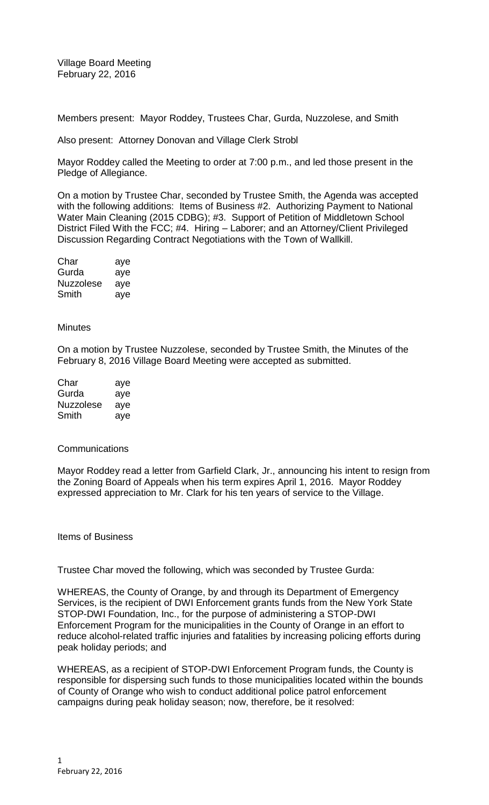Village Board Meeting February 22, 2016

Members present: Mayor Roddey, Trustees Char, Gurda, Nuzzolese, and Smith

Also present: Attorney Donovan and Village Clerk Strobl

Mayor Roddey called the Meeting to order at 7:00 p.m., and led those present in the Pledge of Allegiance.

On a motion by Trustee Char, seconded by Trustee Smith, the Agenda was accepted with the following additions: Items of Business #2. Authorizing Payment to National Water Main Cleaning (2015 CDBG); #3. Support of Petition of Middletown School District Filed With the FCC; #4. Hiring – Laborer; and an Attorney/Client Privileged Discussion Regarding Contract Negotiations with the Town of Wallkill.

| Char      | aye |
|-----------|-----|
| Gurda     | aye |
| Nuzzolese | aye |
| Smith     | aye |

## **Minutes**

On a motion by Trustee Nuzzolese, seconded by Trustee Smith, the Minutes of the February 8, 2016 Village Board Meeting were accepted as submitted.

| Char      | aye |
|-----------|-----|
| Gurda     | aye |
| Nuzzolese | aye |
| Smith     | ave |

## Communications

Mayor Roddey read a letter from Garfield Clark, Jr., announcing his intent to resign from the Zoning Board of Appeals when his term expires April 1, 2016. Mayor Roddey expressed appreciation to Mr. Clark for his ten years of service to the Village.

Items of Business

Trustee Char moved the following, which was seconded by Trustee Gurda:

WHEREAS, the County of Orange, by and through its Department of Emergency Services, is the recipient of DWI Enforcement grants funds from the New York State STOP-DWI Foundation, Inc., for the purpose of administering a STOP-DWI Enforcement Program for the municipalities in the County of Orange in an effort to reduce alcohol-related traffic injuries and fatalities by increasing policing efforts during peak holiday periods; and

WHEREAS, as a recipient of STOP-DWI Enforcement Program funds, the County is responsible for dispersing such funds to those municipalities located within the bounds of County of Orange who wish to conduct additional police patrol enforcement campaigns during peak holiday season; now, therefore, be it resolved: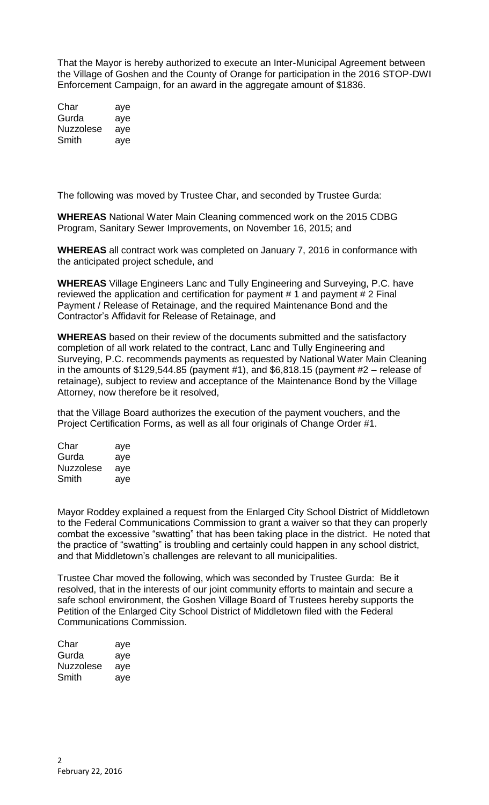That the Mayor is hereby authorized to execute an Inter-Municipal Agreement between the Village of Goshen and the County of Orange for participation in the 2016 STOP-DWI Enforcement Campaign, for an award in the aggregate amount of \$1836.

| Char      | aye |
|-----------|-----|
| Gurda     | aye |
| Nuzzolese | aye |
| Smith     | aye |

The following was moved by Trustee Char, and seconded by Trustee Gurda:

**WHEREAS** National Water Main Cleaning commenced work on the 2015 CDBG Program, Sanitary Sewer Improvements, on November 16, 2015; and

**WHEREAS** all contract work was completed on January 7, 2016 in conformance with the anticipated project schedule, and

**WHEREAS** Village Engineers Lanc and Tully Engineering and Surveying, P.C. have reviewed the application and certification for payment # 1 and payment # 2 Final Payment / Release of Retainage, and the required Maintenance Bond and the Contractor's Affidavit for Release of Retainage, and

**WHEREAS** based on their review of the documents submitted and the satisfactory completion of all work related to the contract, Lanc and Tully Engineering and Surveying, P.C. recommends payments as requested by National Water Main Cleaning in the amounts of \$129,544.85 (payment #1), and \$6,818.15 (payment #2 – release of retainage), subject to review and acceptance of the Maintenance Bond by the Village Attorney, now therefore be it resolved,

that the Village Board authorizes the execution of the payment vouchers, and the Project Certification Forms, as well as all four originals of Change Order #1.

| Char      | aye |
|-----------|-----|
| Gurda     | aye |
| Nuzzolese | ave |
| Smith     | aye |
|           |     |

Mayor Roddey explained a request from the Enlarged City School District of Middletown to the Federal Communications Commission to grant a waiver so that they can properly combat the excessive "swatting" that has been taking place in the district. He noted that the practice of "swatting" is troubling and certainly could happen in any school district, and that Middletown's challenges are relevant to all municipalities.

Trustee Char moved the following, which was seconded by Trustee Gurda: Be it resolved, that in the interests of our joint community efforts to maintain and secure a safe school environment, the Goshen Village Board of Trustees hereby supports the Petition of the Enlarged City School District of Middletown filed with the Federal Communications Commission.

| Char      | aye |
|-----------|-----|
| Gurda     | aye |
| Nuzzolese | aye |
| Smith     | aye |